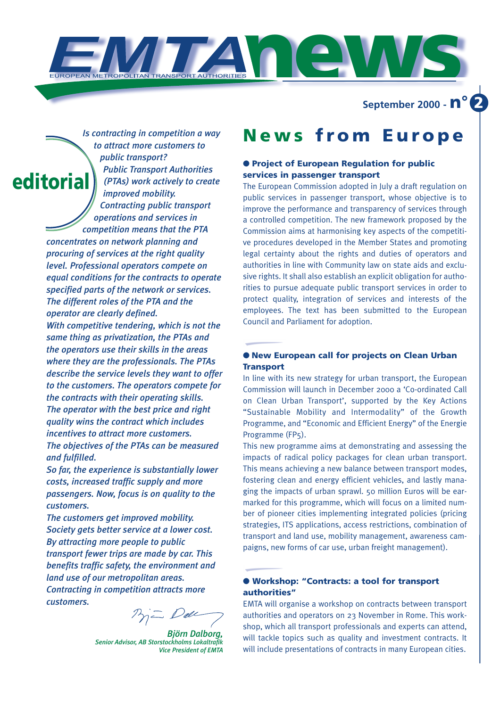**news**

**September 2000 - n° 2**

*Is contracting in competition a way to attract more customers to public transport? Public Transport Authorities (PTAs) work actively to create improved mobility. Contracting public transport operations and services in competition means that the PTA*

*concentrates on network planning and procuring of services at the right quality level. Professional operators compete on equal conditions for the contracts to operate specified parts of the network or services. The different roles of the PTA and the operator are clearly defined.*

**editorial**

*With competitive tendering, which is not the same thing as privatization, the PTAs and the operators use their skills in the areas where they are the professionals. The PTAs describe the service levels they want to offer to the customers. The operators compete for the contracts with their operating skills. The operator with the best price and right quality wins the contract which includes incentives to attract more customers. The objectives of the PTAs can be measured and fulfilled.*

*So far, the experience is substantially lower costs, increased traffic supply and more passengers. Now, focus is on quality to the customers.*

*The customers get improved mobility. Society gets better service at a lower cost. By attracting more people to public transport fewer trips are made by car. This benefits traffic safety, the environment and land use of our metropolitan areas. Contracting in competition attracts more customers.*

*Björn Dalborg, Senior Advisor, AB Storstockholms Lokaltrafik Vice President of EMTA* 

# **News from Europe**

# ● **Project of European Regulation for public services in passenger transport**

The European Commission adopted in July a draft regulation on public services in passenger transport, whose objective is to improve the performance and transparency of services through a controlled competition. The new framework proposed by the Commission aims at harmonising key aspects of the competitive procedures developed in the Member States and promoting legal certainty about the rights and duties of operators and authorities in line with Community law on state aids and exclusive rights. It shall also establish an explicit obligation for authorities to pursue adequate public transport services in order to protect quality, integration of services and interests of the employees. The text has been submitted to the European Council and Parliament for adoption.

## ● **New European call for projects on Clean Urban Transport**

In line with its new strategy for urban transport, the European Commission will launch in December 2000 a 'Co-ordinated Call on Clean Urban Transport', supported by the Key Actions "Sustainable Mobility and Intermodality" of the Growth Programme, and "Economic and Efficient Energy" of the Energie Programme (FP<sub>5</sub>).

This new programme aims at demonstrating and assessing the impacts of radical policy packages for clean urban transport. This means achieving a new balance between transport modes, fostering clean and energy efficient vehicles, and lastly managing the impacts of urban sprawl. 50 million Euros will be earmarked for this programme, which will focus on a limited number of pioneer cities implementing integrated policies (pricing strategies, ITS applications, access restrictions, combination of transport and land use, mobility management, awareness campaigns, new forms of car use, urban freight management).

## ● **Workshop: "Contracts: a tool for transport authorities"**

EMTA will organise a workshop on contracts between transport authorities and operators on 23 November in Rome. This workshop, which all transport professionals and experts can attend, will tackle topics such as quality and investment contracts. It will include presentations of contracts in many European cities.